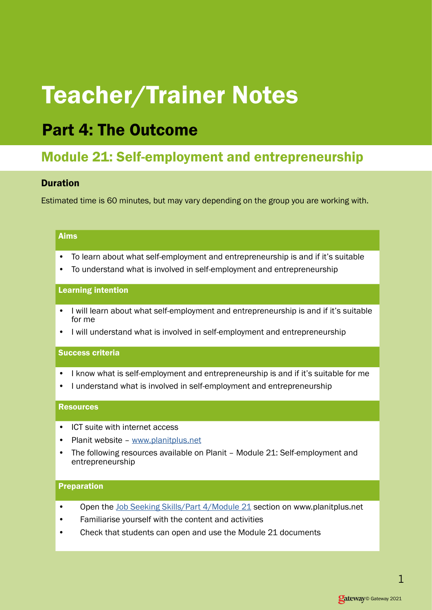# Teacher/Trainer Notes

# Part 4: The Outcome

# Module 21: Self-employment and entrepreneurship

## Duration

Estimated time is 60 minutes, but may vary depending on the group you are working with.

#### Aims

- To learn about what self-employment and entrepreneurship is and if it's suitable
- To understand what is involved in self-employment and entrepreneurship

#### Learning intention

- I will learn about what self-employment and entrepreneurship is and if it's suitable for me
- I will understand what is involved in self-employment and entrepreneurship

### Success criteria

- I know what is self-employment and entrepreneurship is and if it's suitable for me
- I understand what is involved in self-employment and entrepreneurship

#### **Resources**

- ICT suite with internet access
- Planit website [www.planitplus.net](https://www.planitplus.net)
- The following resources available on Planit Module 21: Self-employment and entrepreneurship

#### Preparation

- Open the [Job Seeking Skills/Part 4/Module 21](https://www.planitplus.net/JobSeekingSkills/View/185?categoryId=43) section on www.planitplus.net
- Familiarise yourself with the content and activities
- Check that students can open and use the Module 21 documents